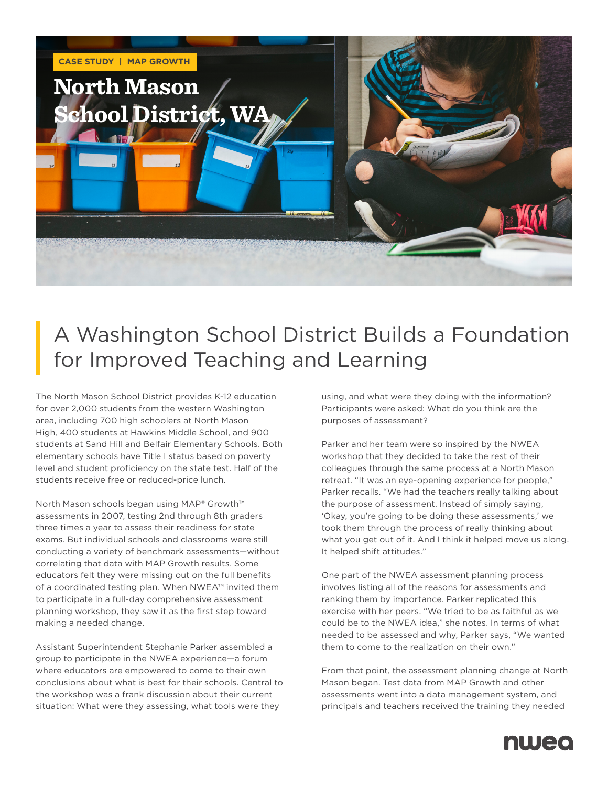

## A Washington School District Builds a Foundation for Improved Teaching and Learning

The North Mason School District provides K-12 education for over 2,000 students from the western Washington area, including 700 high schoolers at North Mason High, 400 students at Hawkins Middle School, and 900 students at Sand Hill and Belfair Elementary Schools. Both elementary schools have Title I status based on poverty level and student proficiency on the state test. Half of the students receive free or reduced-price lunch.

North Mason schools began using MAP® Growth™ assessments in 2007, testing 2nd through 8th graders three times a year to assess their readiness for state exams. But individual schools and classrooms were still conducting a variety of benchmark assessments—without correlating that data with MAP Growth results. Some educators felt they were missing out on the full benefits of a coordinated testing plan. When NWEA™ invited them to participate in a full-day comprehensive assessment planning workshop, they saw it as the first step toward making a needed change.

Assistant Superintendent Stephanie Parker assembled a group to participate in the NWEA experience—a forum where educators are empowered to come to their own conclusions about what is best for their schools. Central to the workshop was a frank discussion about their current situation: What were they assessing, what tools were they

using, and what were they doing with the information? Participants were asked: What do you think are the purposes of assessment?

Parker and her team were so inspired by the NWEA workshop that they decided to take the rest of their colleagues through the same process at a North Mason retreat. "It was an eye-opening experience for people," Parker recalls. "We had the teachers really talking about the purpose of assessment. Instead of simply saying, 'Okay, you're going to be doing these assessments,' we took them through the process of really thinking about what you get out of it. And I think it helped move us along. It helped shift attitudes."

One part of the NWEA assessment planning process involves listing all of the reasons for assessments and ranking them by importance. Parker replicated this exercise with her peers. "We tried to be as faithful as we could be to the NWEA idea," she notes. In terms of what needed to be assessed and why, Parker says, "We wanted them to come to the realization on their own."

From that point, the assessment planning change at North Mason began. Test data from MAP Growth and other assessments went into a data management system, and principals and teachers received the training they needed